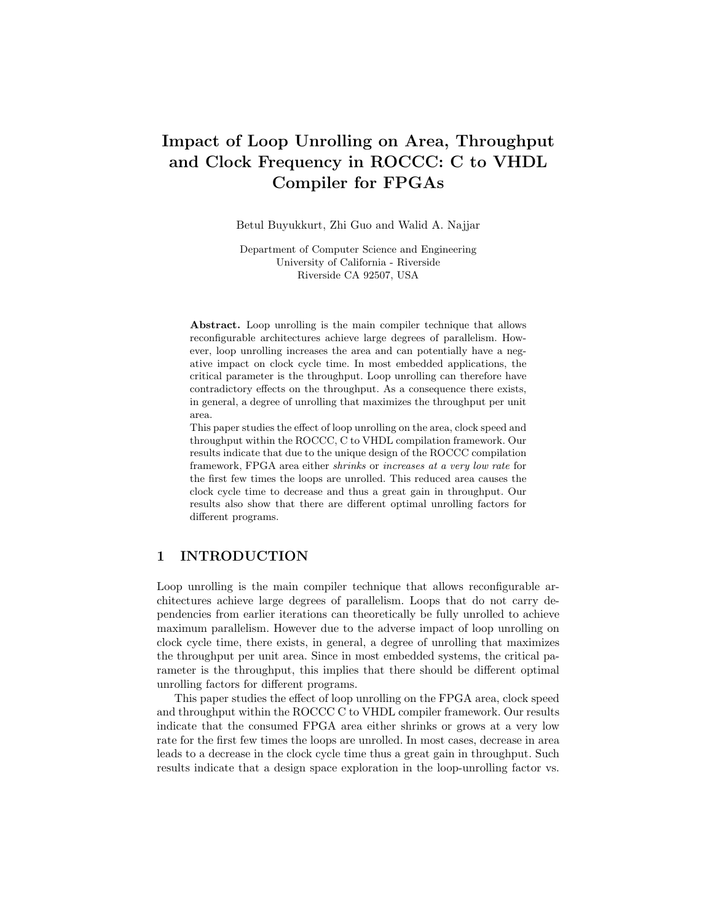# Impact of Loop Unrolling on Area, Throughput and Clock Frequency in ROCCC: C to VHDL Compiler for FPGAs

Betul Buyukkurt, Zhi Guo and Walid A. Najjar

Department of Computer Science and Engineering University of California - Riverside Riverside CA 92507, USA

Abstract. Loop unrolling is the main compiler technique that allows reconfigurable architectures achieve large degrees of parallelism. However, loop unrolling increases the area and can potentially have a negative impact on clock cycle time. In most embedded applications, the critical parameter is the throughput. Loop unrolling can therefore have contradictory effects on the throughput. As a consequence there exists, in general, a degree of unrolling that maximizes the throughput per unit area.

This paper studies the effect of loop unrolling on the area, clock speed and throughput within the ROCCC, C to VHDL compilation framework. Our results indicate that due to the unique design of the ROCCC compilation framework, FPGA area either shrinks or increases at a very low rate for the first few times the loops are unrolled. This reduced area causes the clock cycle time to decrease and thus a great gain in throughput. Our results also show that there are different optimal unrolling factors for different programs.

# 1 INTRODUCTION

Loop unrolling is the main compiler technique that allows reconfigurable architectures achieve large degrees of parallelism. Loops that do not carry dependencies from earlier iterations can theoretically be fully unrolled to achieve maximum parallelism. However due to the adverse impact of loop unrolling on clock cycle time, there exists, in general, a degree of unrolling that maximizes the throughput per unit area. Since in most embedded systems, the critical parameter is the throughput, this implies that there should be different optimal unrolling factors for different programs.

This paper studies the effect of loop unrolling on the FPGA area, clock speed and throughput within the ROCCC C to VHDL compiler framework. Our results indicate that the consumed FPGA area either shrinks or grows at a very low rate for the first few times the loops are unrolled. In most cases, decrease in area leads to a decrease in the clock cycle time thus a great gain in throughput. Such results indicate that a design space exploration in the loop-unrolling factor vs.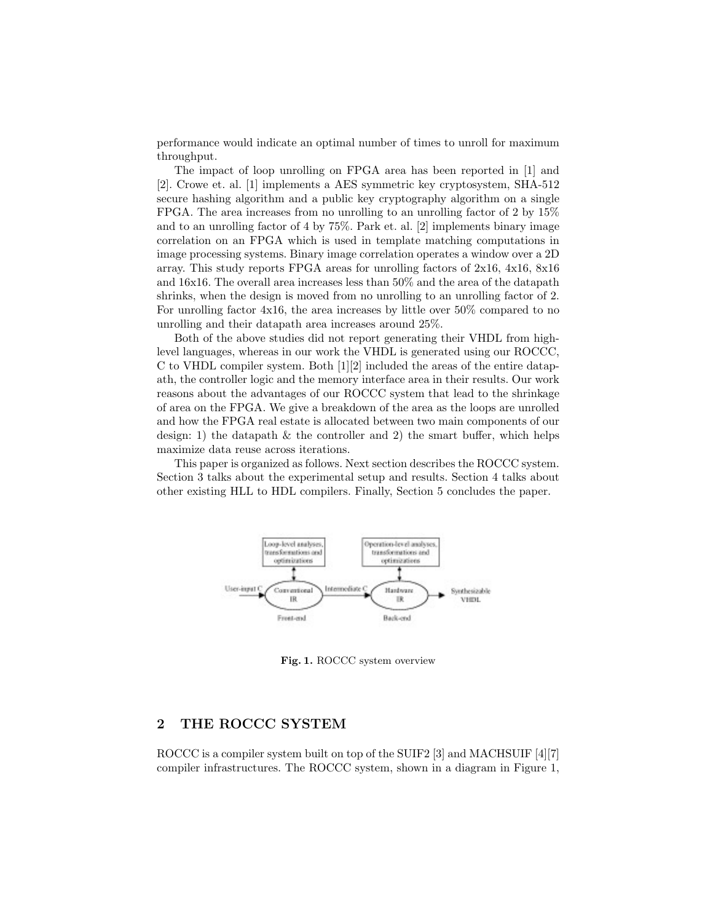performance would indicate an optimal number of times to unroll for maximum throughput.

The impact of loop unrolling on FPGA area has been reported in [1] and [2]. Crowe et. al. [1] implements a AES symmetric key cryptosystem, SHA-512 secure hashing algorithm and a public key cryptography algorithm on a single FPGA. The area increases from no unrolling to an unrolling factor of 2 by 15% and to an unrolling factor of 4 by 75%. Park et. al. [2] implements binary image correlation on an FPGA which is used in template matching computations in image processing systems. Binary image correlation operates a window over a 2D array. This study reports FPGA areas for unrolling factors of 2x16, 4x16, 8x16 and 16x16. The overall area increases less than 50% and the area of the datapath shrinks, when the design is moved from no unrolling to an unrolling factor of 2. For unrolling factor 4x16, the area increases by little over 50% compared to no unrolling and their datapath area increases around 25%.

Both of the above studies did not report generating their VHDL from highlevel languages, whereas in our work the VHDL is generated using our ROCCC, C to VHDL compiler system. Both [1][2] included the areas of the entire datapath, the controller logic and the memory interface area in their results. Our work reasons about the advantages of our ROCCC system that lead to the shrinkage of area on the FPGA. We give a breakdown of the area as the loops are unrolled and how the FPGA real estate is allocated between two main components of our design: 1) the datapath  $\&$  the controller and 2) the smart buffer, which helps maximize data reuse across iterations.

This paper is organized as follows. Next section describes the ROCCC system. Section 3 talks about the experimental setup and results. Section 4 talks about other existing HLL to HDL compilers. Finally, Section 5 concludes the paper.



Fig. 1. ROCCC system overview

# 2 THE ROCCC SYSTEM

ROCCC is a compiler system built on top of the SUIF2 [3] and MACHSUIF [4][7] compiler infrastructures. The ROCCC system, shown in a diagram in Figure 1,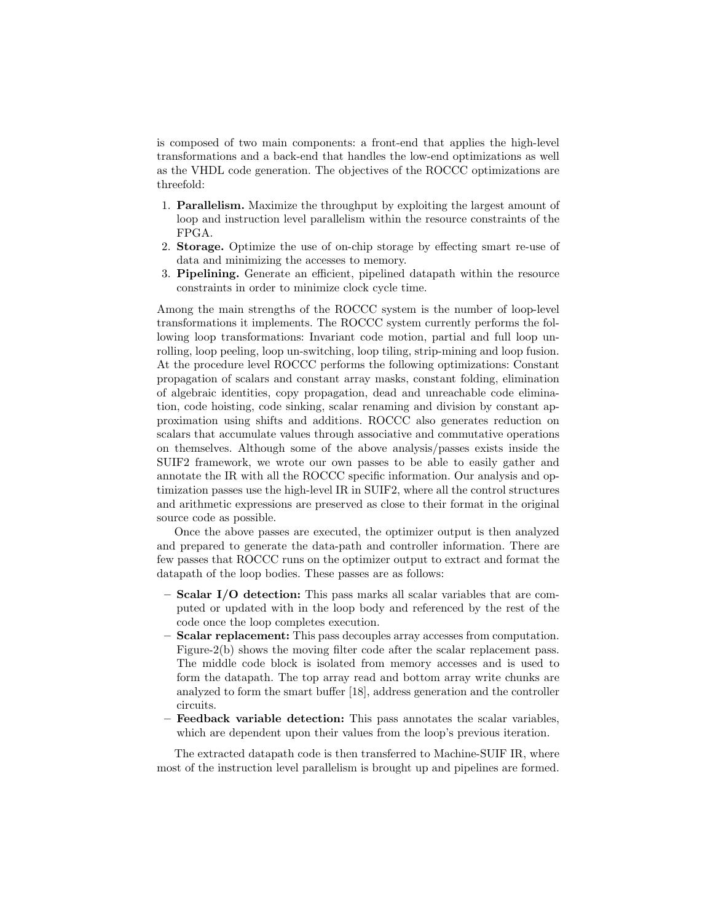is composed of two main components: a front-end that applies the high-level transformations and a back-end that handles the low-end optimizations as well as the VHDL code generation. The objectives of the ROCCC optimizations are threefold:

- 1. Parallelism. Maximize the throughput by exploiting the largest amount of loop and instruction level parallelism within the resource constraints of the FPGA.
- 2. Storage. Optimize the use of on-chip storage by effecting smart re-use of data and minimizing the accesses to memory.
- 3. Pipelining. Generate an efficient, pipelined datapath within the resource constraints in order to minimize clock cycle time.

Among the main strengths of the ROCCC system is the number of loop-level transformations it implements. The ROCCC system currently performs the following loop transformations: Invariant code motion, partial and full loop unrolling, loop peeling, loop un-switching, loop tiling, strip-mining and loop fusion. At the procedure level ROCCC performs the following optimizations: Constant propagation of scalars and constant array masks, constant folding, elimination of algebraic identities, copy propagation, dead and unreachable code elimination, code hoisting, code sinking, scalar renaming and division by constant approximation using shifts and additions. ROCCC also generates reduction on scalars that accumulate values through associative and commutative operations on themselves. Although some of the above analysis/passes exists inside the SUIF2 framework, we wrote our own passes to be able to easily gather and annotate the IR with all the ROCCC specific information. Our analysis and optimization passes use the high-level IR in SUIF2, where all the control structures and arithmetic expressions are preserved as close to their format in the original source code as possible.

Once the above passes are executed, the optimizer output is then analyzed and prepared to generate the data-path and controller information. There are few passes that ROCCC runs on the optimizer output to extract and format the datapath of the loop bodies. These passes are as follows:

- Scalar I/O detection: This pass marks all scalar variables that are computed or updated with in the loop body and referenced by the rest of the code once the loop completes execution.
- Scalar replacement: This pass decouples array accesses from computation. Figure-2(b) shows the moving filter code after the scalar replacement pass. The middle code block is isolated from memory accesses and is used to form the datapath. The top array read and bottom array write chunks are analyzed to form the smart buffer [18], address generation and the controller circuits.
- Feedback variable detection: This pass annotates the scalar variables, which are dependent upon their values from the loop's previous iteration.

The extracted datapath code is then transferred to Machine-SUIF IR, where most of the instruction level parallelism is brought up and pipelines are formed.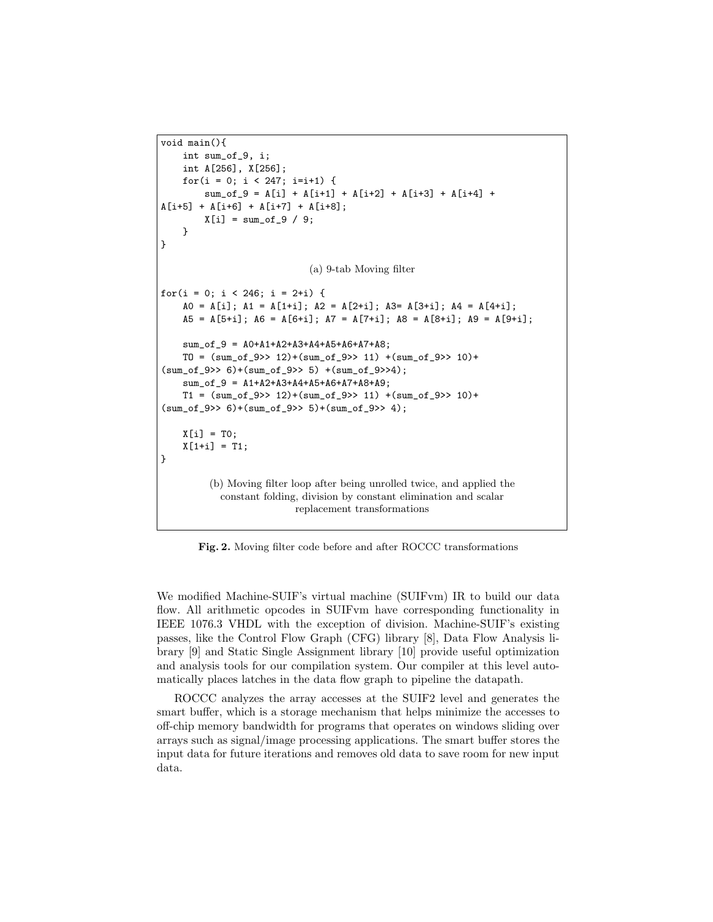```
void main(){
    int sum_of_9, i;
    int A[256], X[256];
    for(i = 0; i < 247; i=i+1) {
        sum_of_9 = A[i] + A[i+1] + A[i+2] + A[i+3] + A[i+4] +A[i+5] + A[i+6] + A[i+7] + A[i+8];X[i] = sum_of_9 / 9;}
}
                             (a) 9-tab Moving filter
for(i = 0; i < 246; i = 2+i) {
    AO = A[i]; A1 = A[1+i]; A2 = A[2+i]; A3 = A[3+i]; A4 = A[4+i];A5 = A[5+i]; A6 = A[6+i]; A7 = A[7+i]; A8 = A[8+i]; A9 = A[9+i];sum_of_9 = A0+A1+A2+A3+A4+A5+A6+A7+A8;
    T0 = (sum_of_9 \gg 12) + (sum_of_9 \gg 11) + (sum_of_9 \gg 10) +(sum_of_9>> 6)+(sum_of_9>> 5) +(sum_of_9>>4);sum_of_9 = A1+A2+A3+A4+A5+A6+A7+A8+A9;
    T1 = (sum_of_9 \gg 12) + (sum_of_9 \gg 11) + (sum_of_9 \gg 10) +(sum_of_9>> 6)+(sum_of_9>> 5)+(sum_of_9>> 4);X[i] = T0;X[1+i] = T1;}
         (b) Moving filter loop after being unrolled twice, and applied the
           constant folding, division by constant elimination and scalar
                          replacement transformations
```
Fig. 2. Moving filter code before and after ROCCC transformations

We modified Machine-SUIF's virtual machine (SUIFvm) IR to build our data flow. All arithmetic opcodes in SUIFvm have corresponding functionality in IEEE 1076.3 VHDL with the exception of division. Machine-SUIF's existing passes, like the Control Flow Graph (CFG) library [8], Data Flow Analysis library [9] and Static Single Assignment library [10] provide useful optimization and analysis tools for our compilation system. Our compiler at this level automatically places latches in the data flow graph to pipeline the datapath.

ROCCC analyzes the array accesses at the SUIF2 level and generates the smart buffer, which is a storage mechanism that helps minimize the accesses to off-chip memory bandwidth for programs that operates on windows sliding over arrays such as signal/image processing applications. The smart buffer stores the input data for future iterations and removes old data to save room for new input data.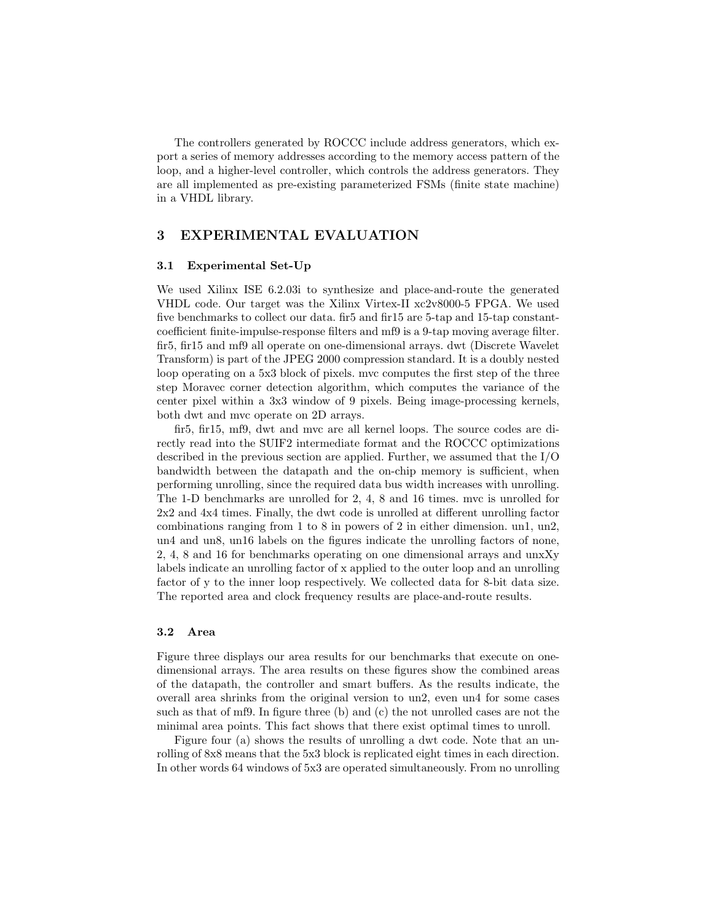The controllers generated by ROCCC include address generators, which export a series of memory addresses according to the memory access pattern of the loop, and a higher-level controller, which controls the address generators. They are all implemented as pre-existing parameterized FSMs (finite state machine) in a VHDL library.

#### 3 EXPERIMENTAL EVALUATION

#### 3.1 Experimental Set-Up

We used Xilinx ISE 6.2.03i to synthesize and place-and-route the generated VHDL code. Our target was the Xilinx Virtex-II xc2v8000-5 FPGA. We used five benchmarks to collect our data. fir5 and fir15 are 5-tap and 15-tap constantcoefficient finite-impulse-response filters and mf9 is a 9-tap moving average filter. fir5, fir15 and mf9 all operate on one-dimensional arrays. dwt (Discrete Wavelet Transform) is part of the JPEG 2000 compression standard. It is a doubly nested loop operating on a 5x3 block of pixels. mvc computes the first step of the three step Moravec corner detection algorithm, which computes the variance of the center pixel within a 3x3 window of 9 pixels. Being image-processing kernels, both dwt and mvc operate on 2D arrays.

fir5, fir15, mf9, dwt and mvc are all kernel loops. The source codes are directly read into the SUIF2 intermediate format and the ROCCC optimizations described in the previous section are applied. Further, we assumed that the I/O bandwidth between the datapath and the on-chip memory is sufficient, when performing unrolling, since the required data bus width increases with unrolling. The 1-D benchmarks are unrolled for 2, 4, 8 and 16 times. mvc is unrolled for 2x2 and 4x4 times. Finally, the dwt code is unrolled at different unrolling factor combinations ranging from 1 to 8 in powers of 2 in either dimension. un1, un2, un4 and un8, un16 labels on the figures indicate the unrolling factors of none, 2, 4, 8 and 16 for benchmarks operating on one dimensional arrays and unxXy labels indicate an unrolling factor of x applied to the outer loop and an unrolling factor of y to the inner loop respectively. We collected data for 8-bit data size. The reported area and clock frequency results are place-and-route results.

### 3.2 Area

Figure three displays our area results for our benchmarks that execute on onedimensional arrays. The area results on these figures show the combined areas of the datapath, the controller and smart buffers. As the results indicate, the overall area shrinks from the original version to un2, even un4 for some cases such as that of mf9. In figure three  $(b)$  and  $(c)$  the not unrolled cases are not the minimal area points. This fact shows that there exist optimal times to unroll.

Figure four (a) shows the results of unrolling a dwt code. Note that an unrolling of 8x8 means that the 5x3 block is replicated eight times in each direction. In other words 64 windows of 5x3 are operated simultaneously. From no unrolling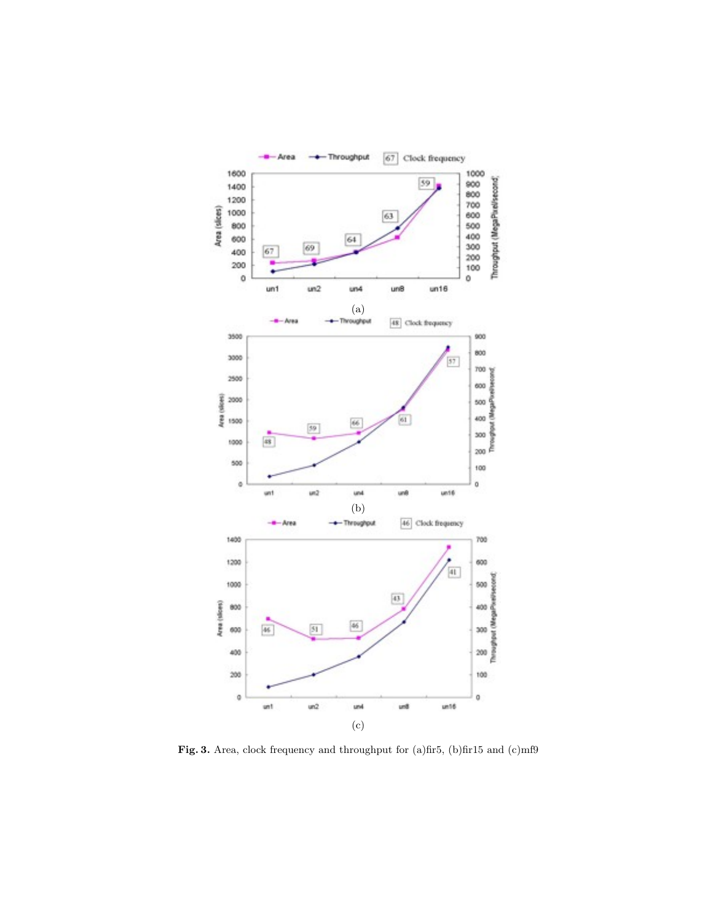

Fig. 3. Area, clock frequency and throughput for (a)fir5, (b)fir15 and (c)mf9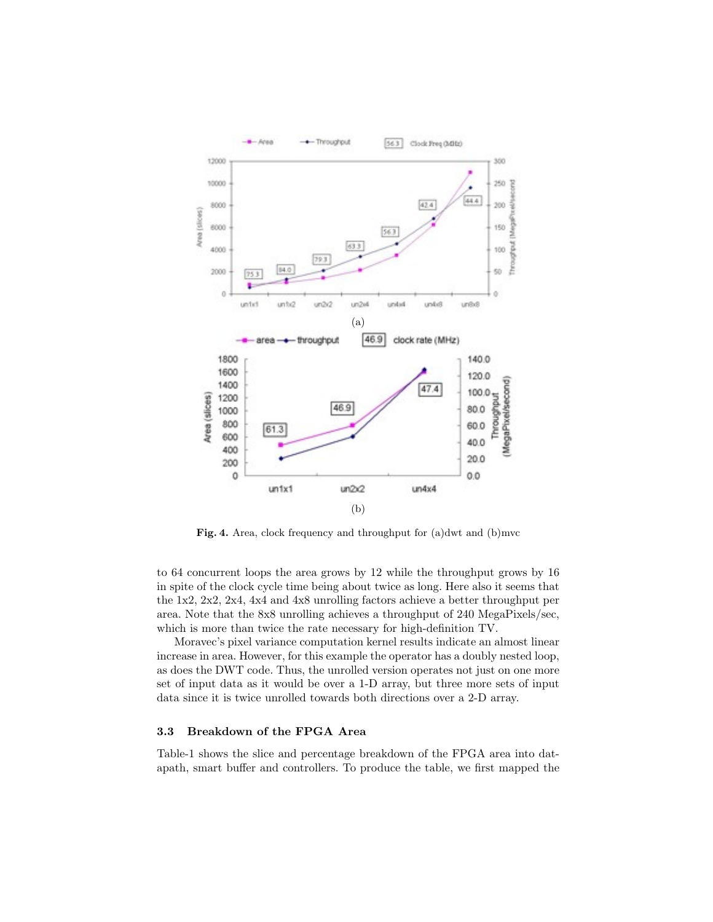

Fig. 4. Area, clock frequency and throughput for (a)dwt and (b)mvc

to 64 concurrent loops the area grows by 12 while the throughput grows by 16 in spite of the clock cycle time being about twice as long. Here also it seems that the 1x2, 2x2, 2x4, 4x4 and 4x8 unrolling factors achieve a better throughput per area. Note that the 8x8 unrolling achieves a throughput of 240 MegaPixels/sec, which is more than twice the rate necessary for high-definition TV.

Moravec's pixel variance computation kernel results indicate an almost linear increase in area. However, for this example the operator has a doubly nested loop, as does the DWT code. Thus, the unrolled version operates not just on one more set of input data as it would be over a 1-D array, but three more sets of input data since it is twice unrolled towards both directions over a 2-D array.

#### 3.3 Breakdown of the FPGA Area

Table-1 shows the slice and percentage breakdown of the FPGA area into datapath, smart buffer and controllers. To produce the table, we first mapped the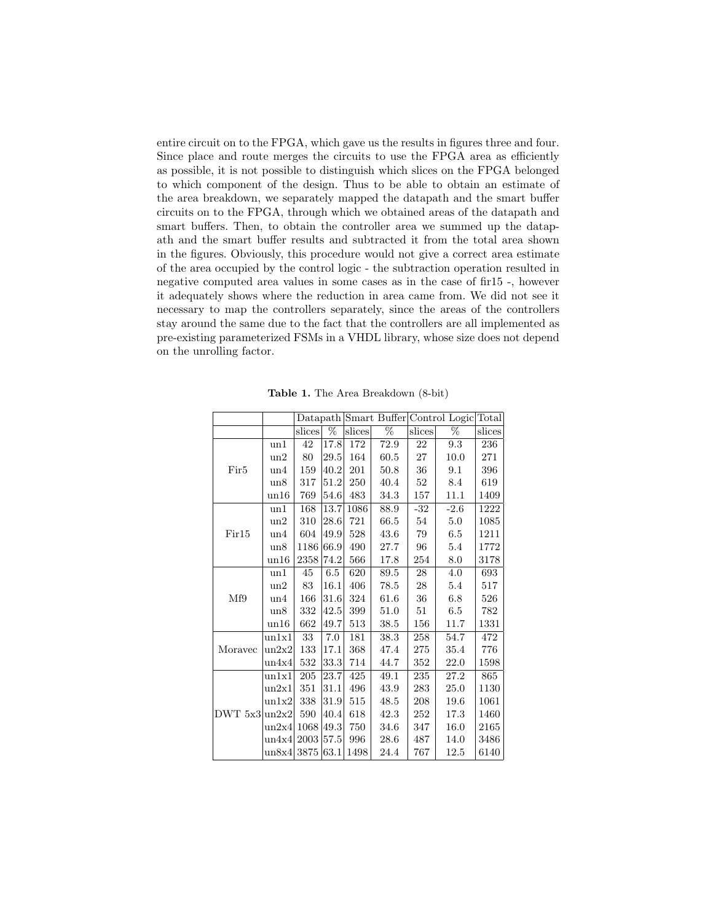entire circuit on to the FPGA, which gave us the results in figures three and four. Since place and route merges the circuits to use the FPGA area as efficiently as possible, it is not possible to distinguish which slices on the FPGA belonged to which component of the design. Thus to be able to obtain an estimate of the area breakdown, we separately mapped the datapath and the smart buffer circuits on to the FPGA, through which we obtained areas of the datapath and smart buffers. Then, to obtain the controller area we summed up the datapath and the smart buffer results and subtracted it from the total area shown in the figures. Obviously, this procedure would not give a correct area estimate of the area occupied by the control logic - the subtraction operation resulted in negative computed area values in some cases as in the case of fir15 -, however it adequately shows where the reduction in area came from. We did not see it necessary to map the controllers separately, since the areas of the controllers stay around the same due to the fact that the controllers are all implemented as pre-existing parameterized FSMs in a VHDL library, whose size does not depend on the unrolling factor.

|  |                  |                           |           |                   |                  |      | Datapath Smart Buffer Control Logic Total |        |        |
|--|------------------|---------------------------|-----------|-------------------|------------------|------|-------------------------------------------|--------|--------|
|  |                  |                           | slices    | %                 | slices           | %    | slices                                    | $\%$   | slices |
|  | Fir <sub>5</sub> | un1                       | 42        | $\overline{17.8}$ | $\overline{172}$ | 72.9 | 22                                        | 9.3    | 236    |
|  |                  | un2                       | 80        | 29.5              | 164              | 60.5 | $27\,$                                    | 10.0   | 271    |
|  |                  | un4                       | 159       | 40.2              | 201              | 50.8 | 36                                        | 9.1    | 396    |
|  |                  | $\text{un}8$              | 317       | 51.2              | 250              | 40.4 | $52\,$                                    | 8.4    | 619    |
|  |                  | un16                      | 769       | 54.6              | 483              | 34.3 | 157                                       | 11.1   | 1409   |
|  | First 15         | un1                       | 168       | 13.7              | 1086             | 88.9 | $-32$                                     | $-2.6$ | 1222   |
|  |                  | un2                       | 310       | 28.6              | 721              | 66.5 | 54                                        | 5.0    | 1085   |
|  |                  | un4                       | 604       | 49.9              | 528              | 43.6 | 79                                        | 6.5    | 1211   |
|  |                  | $\text{un}8$              | 1186 66.9 |                   | 490              | 27.7 | 96                                        | 5.4    | 1772   |
|  |                  | un16                      | 2358      | 74.2              | 566              | 17.8 | 254                                       | 8.0    | 3178   |
|  | Mf9              | un1                       | 45        | $6.5\,$           | 620              | 89.5 | 28                                        | 4.0    | 693    |
|  |                  | un2                       | 83        | 16.1              | 406              | 78.5 | 28                                        | 5.4    | 517    |
|  |                  | un4                       | 166       | 31.6              | 324              | 61.6 | 36                                        | 6.8    | 526    |
|  |                  | $\text{un}8$              | 332       | 42.5              | 399              | 51.0 | 51                                        | 6.5    | 782    |
|  |                  | un16                      | 662       | 49.7              | 513              | 38.5 | 156                                       | 11.7   | 1331   |
|  | Moravec          | un1x1                     | 33        | 7.0               | 181              | 38.3 | 258                                       | 54.7   | 472    |
|  |                  | un2x2                     | 133       | 17.1              | 368              | 47.4 | 275                                       | 35.4   | 776    |
|  |                  | un4x4                     | $532\,$   | 33.3              | 714              | 44.7 | 352                                       | 22.0   | 1598   |
|  | $DWT 5x3$  un2x2 | $\overline{\text{un1x1}}$ | $205\,$   | 23.7              | 425              | 49.1 | 235                                       | 27.2   | 865    |
|  |                  | un2x1                     | 351       | 31.1              | 496              | 43.9 | 283                                       | 25.0   | 1130   |
|  |                  | un1x2                     | 338       | 31.9              | 515              | 48.5 | 208                                       | 19.6   | 1061   |
|  |                  |                           | 590       | 40.4              | 618              | 42.3 | 252                                       | 17.3   | 1460   |
|  |                  | un2x4                     | 1068 49.3 |                   | 750              | 34.6 | 347                                       | 16.0   | 2165   |
|  |                  | un4x4                     | 2003 57.5 |                   | 996              | 28.6 | 487                                       | 14.0   | 3486   |
|  |                  | un8x4                     | 3875 63.1 |                   | 1498             | 24.4 | 767                                       | 12.5   | 6140   |

Table 1. The Area Breakdown (8-bit)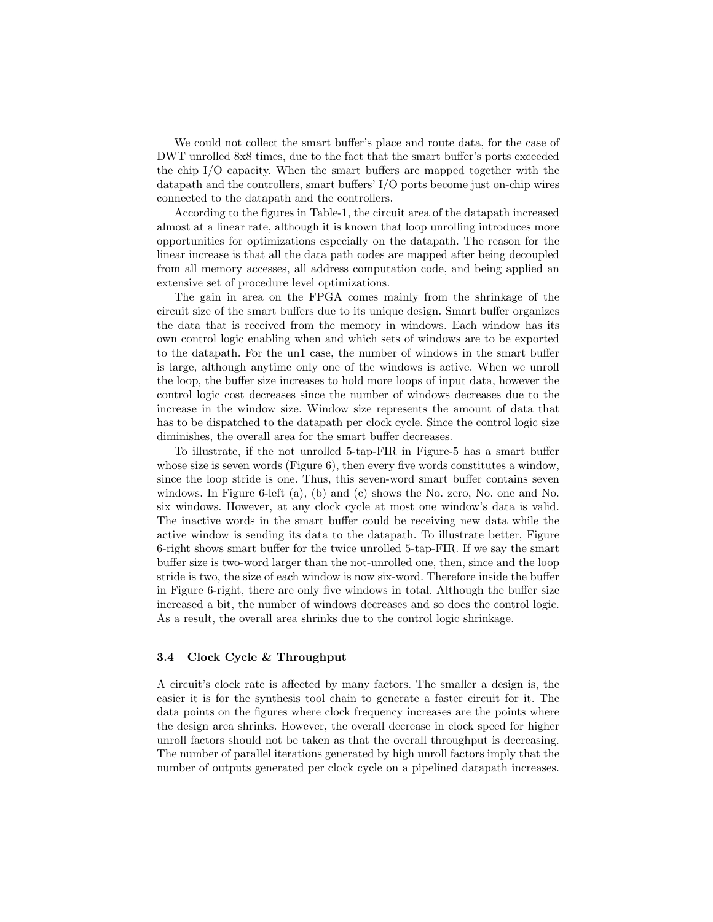We could not collect the smart buffer's place and route data, for the case of DWT unrolled 8x8 times, due to the fact that the smart buffer's ports exceeded the chip I/O capacity. When the smart buffers are mapped together with the datapath and the controllers, smart buffers' I/O ports become just on-chip wires connected to the datapath and the controllers.

According to the figures in Table-1, the circuit area of the datapath increased almost at a linear rate, although it is known that loop unrolling introduces more opportunities for optimizations especially on the datapath. The reason for the linear increase is that all the data path codes are mapped after being decoupled from all memory accesses, all address computation code, and being applied an extensive set of procedure level optimizations.

The gain in area on the FPGA comes mainly from the shrinkage of the circuit size of the smart buffers due to its unique design. Smart buffer organizes the data that is received from the memory in windows. Each window has its own control logic enabling when and which sets of windows are to be exported to the datapath. For the un1 case, the number of windows in the smart buffer is large, although anytime only one of the windows is active. When we unroll the loop, the buffer size increases to hold more loops of input data, however the control logic cost decreases since the number of windows decreases due to the increase in the window size. Window size represents the amount of data that has to be dispatched to the datapath per clock cycle. Since the control logic size diminishes, the overall area for the smart buffer decreases.

To illustrate, if the not unrolled 5-tap-FIR in Figure-5 has a smart buffer whose size is seven words (Figure 6), then every five words constitutes a window, since the loop stride is one. Thus, this seven-word smart buffer contains seven windows. In Figure 6-left (a), (b) and (c) shows the No. zero, No. one and No. six windows. However, at any clock cycle at most one window's data is valid. The inactive words in the smart buffer could be receiving new data while the active window is sending its data to the datapath. To illustrate better, Figure 6-right shows smart buffer for the twice unrolled 5-tap-FIR. If we say the smart buffer size is two-word larger than the not-unrolled one, then, since and the loop stride is two, the size of each window is now six-word. Therefore inside the buffer in Figure 6-right, there are only five windows in total. Although the buffer size increased a bit, the number of windows decreases and so does the control logic. As a result, the overall area shrinks due to the control logic shrinkage.

#### 3.4 Clock Cycle & Throughput

A circuit's clock rate is affected by many factors. The smaller a design is, the easier it is for the synthesis tool chain to generate a faster circuit for it. The data points on the figures where clock frequency increases are the points where the design area shrinks. However, the overall decrease in clock speed for higher unroll factors should not be taken as that the overall throughput is decreasing. The number of parallel iterations generated by high unroll factors imply that the number of outputs generated per clock cycle on a pipelined datapath increases.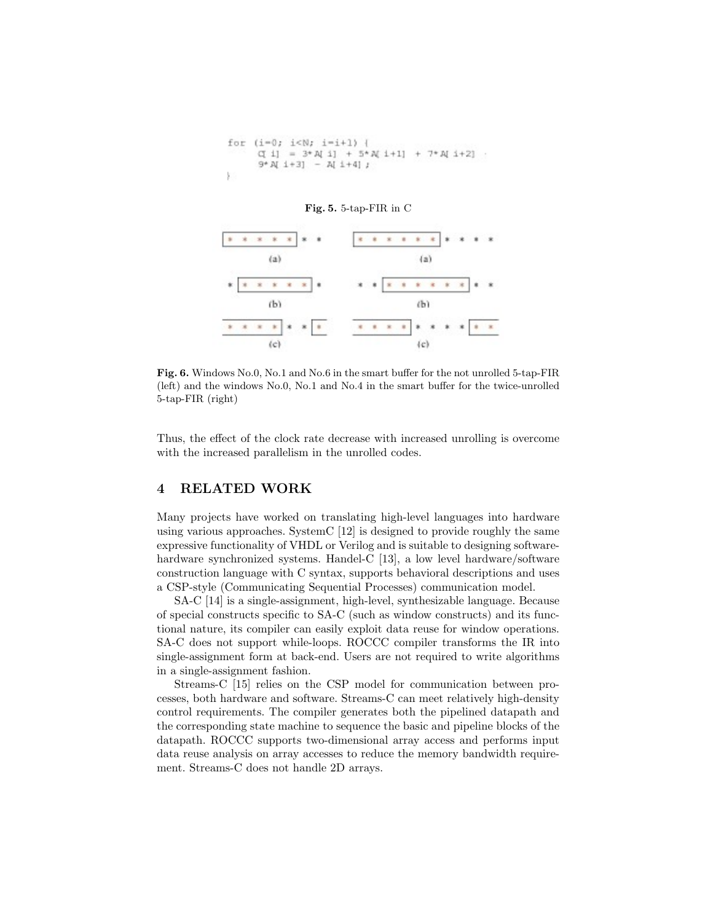```
for (i=0; i< N; i=i+1) {
                    \left( \begin{matrix} 1 \end{matrix} \right) \;\; = \;\; 3^{\ast} \, \mathcal{N} \; \; \begin{matrix} 1 \end{matrix} \;\; + \;\; 5^{\ast} \, \mathcal{N} \; \; \begin{matrix} 1+1 \end{matrix} \;\; + \;\; 7^{\ast} \, \mathcal{N} \; \; \begin{matrix} 1+2 \end{matrix} \;\; .9*A i +3] - A[ i +4];
X
```




Fig. 6. Windows No.0, No.1 and No.6 in the smart buffer for the not unrolled 5-tap-FIR (left) and the windows No.0, No.1 and No.4 in the smart buffer for the twice-unrolled 5-tap-FIR (right)

Thus, the effect of the clock rate decrease with increased unrolling is overcome with the increased parallelism in the unrolled codes.

# 4 RELATED WORK

Many projects have worked on translating high-level languages into hardware using various approaches. SystemC [12] is designed to provide roughly the same expressive functionality of VHDL or Verilog and is suitable to designing softwarehardware synchronized systems. Handel-C [13], a low level hardware/software construction language with C syntax, supports behavioral descriptions and uses a CSP-style (Communicating Sequential Processes) communication model.

SA-C [14] is a single-assignment, high-level, synthesizable language. Because of special constructs specific to SA-C (such as window constructs) and its functional nature, its compiler can easily exploit data reuse for window operations. SA-C does not support while-loops. ROCCC compiler transforms the IR into single-assignment form at back-end. Users are not required to write algorithms in a single-assignment fashion.

Streams-C [15] relies on the CSP model for communication between processes, both hardware and software. Streams-C can meet relatively high-density control requirements. The compiler generates both the pipelined datapath and the corresponding state machine to sequence the basic and pipeline blocks of the datapath. ROCCC supports two-dimensional array access and performs input data reuse analysis on array accesses to reduce the memory bandwidth requirement. Streams-C does not handle 2D arrays.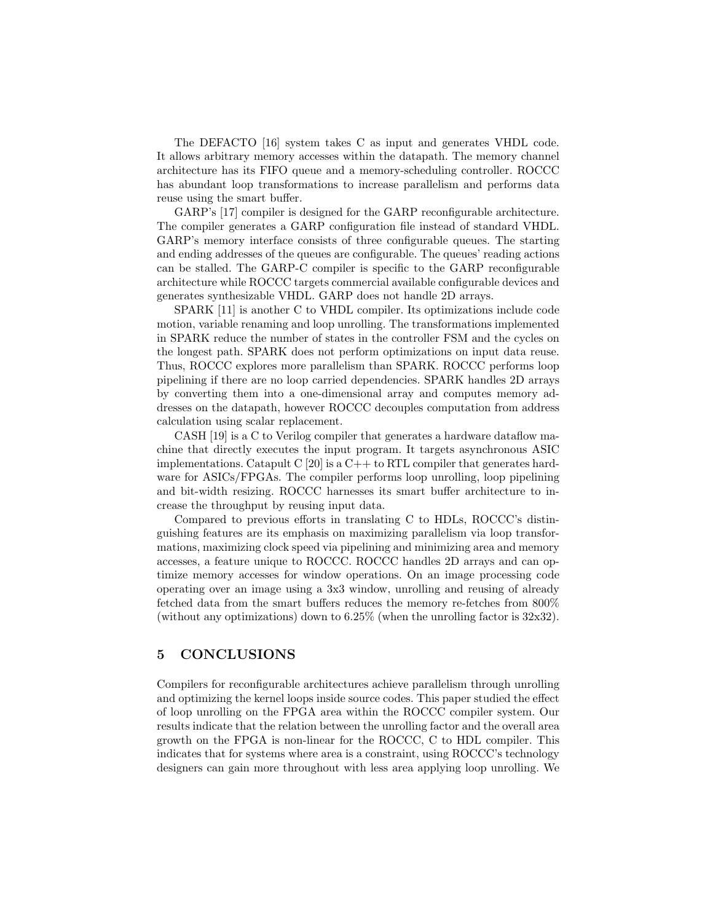The DEFACTO [16] system takes C as input and generates VHDL code. It allows arbitrary memory accesses within the datapath. The memory channel architecture has its FIFO queue and a memory-scheduling controller. ROCCC has abundant loop transformations to increase parallelism and performs data reuse using the smart buffer.

GARP's [17] compiler is designed for the GARP reconfigurable architecture. The compiler generates a GARP configuration file instead of standard VHDL. GARP's memory interface consists of three configurable queues. The starting and ending addresses of the queues are configurable. The queues' reading actions can be stalled. The GARP-C compiler is specific to the GARP reconfigurable architecture while ROCCC targets commercial available configurable devices and generates synthesizable VHDL. GARP does not handle 2D arrays.

SPARK [11] is another C to VHDL compiler. Its optimizations include code motion, variable renaming and loop unrolling. The transformations implemented in SPARK reduce the number of states in the controller FSM and the cycles on the longest path. SPARK does not perform optimizations on input data reuse. Thus, ROCCC explores more parallelism than SPARK. ROCCC performs loop pipelining if there are no loop carried dependencies. SPARK handles 2D arrays by converting them into a one-dimensional array and computes memory addresses on the datapath, however ROCCC decouples computation from address calculation using scalar replacement.

CASH [19] is a C to Verilog compiler that generates a hardware dataflow machine that directly executes the input program. It targets asynchronous ASIC implementations. Catapult C [20] is a  $C_{++}$  to RTL compiler that generates hardware for ASICs/FPGAs. The compiler performs loop unrolling, loop pipelining and bit-width resizing. ROCCC harnesses its smart buffer architecture to increase the throughput by reusing input data.

Compared to previous efforts in translating C to HDLs, ROCCC's distinguishing features are its emphasis on maximizing parallelism via loop transformations, maximizing clock speed via pipelining and minimizing area and memory accesses, a feature unique to ROCCC. ROCCC handles 2D arrays and can optimize memory accesses for window operations. On an image processing code operating over an image using a 3x3 window, unrolling and reusing of already fetched data from the smart buffers reduces the memory re-fetches from 800% (without any optimizations) down to  $6.25\%$  (when the unrolling factor is  $32x32$ ).

## 5 CONCLUSIONS

Compilers for reconfigurable architectures achieve parallelism through unrolling and optimizing the kernel loops inside source codes. This paper studied the effect of loop unrolling on the FPGA area within the ROCCC compiler system. Our results indicate that the relation between the unrolling factor and the overall area growth on the FPGA is non-linear for the ROCCC, C to HDL compiler. This indicates that for systems where area is a constraint, using ROCCC's technology designers can gain more throughout with less area applying loop unrolling. We